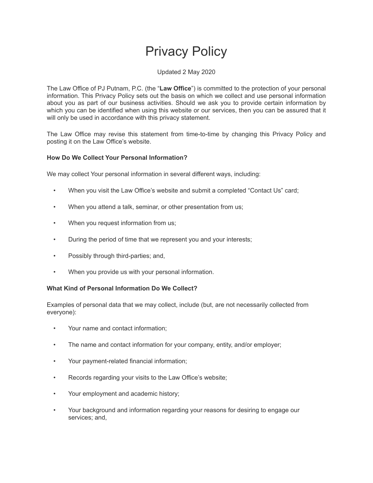# Privacy Policy

# Updated 2 May 2020

The Law Office of PJ Putnam, P.C. (the "**Law Office**") is committed to the protection of your personal information. This Privacy Policy sets out the basis on which we collect and use personal information about you as part of our business activities. Should we ask you to provide certain information by which you can be identified when using this website or our services, then you can be assured that it will only be used in accordance with this privacy statement.

The Law Office may revise this statement from time-to-time by changing this Privacy Policy and posting it on the Law Office's website.

# **How Do We Collect Your Personal Information?**

We may collect Your personal information in several different ways, including:

- When you visit the Law Office's website and submit a completed "Contact Us" card;
- When you attend a talk, seminar, or other presentation from us;
- When you request information from us;
- During the period of time that we represent you and your interests;
- Possibly through third-parties; and,
- When you provide us with your personal information.

## **What Kind of Personal Information Do We Collect?**

Examples of personal data that we may collect, include (but, are not necessarily collected from everyone):

- Your name and contact information;
- The name and contact information for your company, entity, and/or employer;
- Your payment-related financial information;
- Records regarding your visits to the Law Office's website;
- Your employment and academic history;
- Your background and information regarding your reasons for desiring to engage our services; and,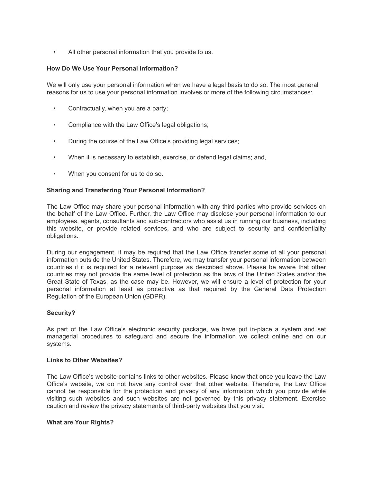• All other personal information that you provide to us.

## **How Do We Use Your Personal Information?**

We will only use your personal information when we have a legal basis to do so. The most general reasons for us to use your personal information involves or more of the following circumstances:

- Contractually, when you are a party;
- Compliance with the Law Office's legal obligations;
- During the course of the Law Office's providing legal services;
- When it is necessary to establish, exercise, or defend legal claims; and,
- When you consent for us to do so.

## **Sharing and Transferring Your Personal Information?**

The Law Office may share your personal information with any third-parties who provide services on the behalf of the Law Office. Further, the Law Office may disclose your personal information to our employees, agents, consultants and sub-contractors who assist us in running our business, including this website, or provide related services, and who are subject to security and confidentiality obligations.

During our engagement, it may be required that the Law Office transfer some of all your personal information outside the United States. Therefore, we may transfer your personal information between countries if it is required for a relevant purpose as described above. Please be aware that other countries may not provide the same level of protection as the laws of the United States and/or the Great State of Texas, as the case may be. However, we will ensure a level of protection for your personal information at least as protective as that required by the General Data Protection Regulation of the European Union (GDPR).

## **Security?**

As part of the Law Office's electronic security package, we have put in-place a system and set managerial procedures to safeguard and secure the information we collect online and on our systems.

#### **Links to Other Websites?**

The Law Office's website contains links to other websites. Please know that once you leave the Law Office's website, we do not have any control over that other website. Therefore, the Law Office cannot be responsible for the protection and privacy of any information which you provide while visiting such websites and such websites are not governed by this privacy statement. Exercise caution and review the privacy statements of third-party websites that you visit.

#### **What are Your Rights?**